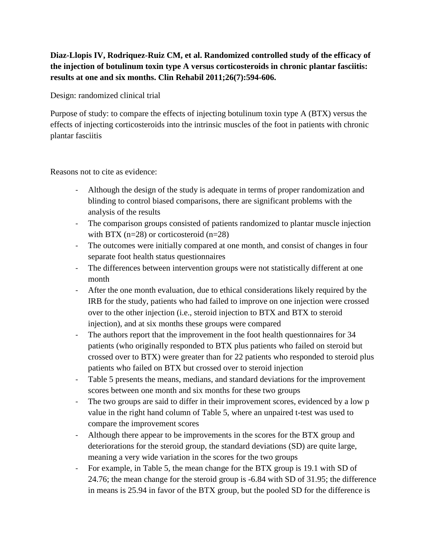## **Diaz-Llopis IV, Rodriquez-Ruiz CM, et al. Randomized controlled study of the efficacy of the injection of botulinum toxin type A versus corticosteroids in chronic plantar fasciitis: results at one and six months. Clin Rehabil 2011;26(7):594-606.**

Design: randomized clinical trial

Purpose of study: to compare the effects of injecting botulinum toxin type A (BTX) versus the effects of injecting corticosteroids into the intrinsic muscles of the foot in patients with chronic plantar fasciitis

Reasons not to cite as evidence:

- Although the design of the study is adequate in terms of proper randomization and blinding to control biased comparisons, there are significant problems with the analysis of the results
- The comparison groups consisted of patients randomized to plantar muscle injection with BTX ( $n=28$ ) or corticosteroid ( $n=28$ )
- The outcomes were initially compared at one month, and consist of changes in four separate foot health status questionnaires
- The differences between intervention groups were not statistically different at one month
- After the one month evaluation, due to ethical considerations likely required by the IRB for the study, patients who had failed to improve on one injection were crossed over to the other injection (i.e., steroid injection to BTX and BTX to steroid injection), and at six months these groups were compared
- The authors report that the improvement in the foot health questionnaires for 34 patients (who originally responded to BTX plus patients who failed on steroid but crossed over to BTX) were greater than for 22 patients who responded to steroid plus patients who failed on BTX but crossed over to steroid injection
- Table 5 presents the means, medians, and standard deviations for the improvement scores between one month and six months for these two groups
- The two groups are said to differ in their improvement scores, evidenced by a low p value in the right hand column of Table 5, where an unpaired t-test was used to compare the improvement scores
- Although there appear to be improvements in the scores for the BTX group and deteriorations for the steroid group, the standard deviations (SD) are quite large, meaning a very wide variation in the scores for the two groups
- For example, in Table 5, the mean change for the BTX group is 19.1 with SD of 24.76; the mean change for the steroid group is -6.84 with SD of 31.95; the difference in means is 25.94 in favor of the BTX group, but the pooled SD for the difference is